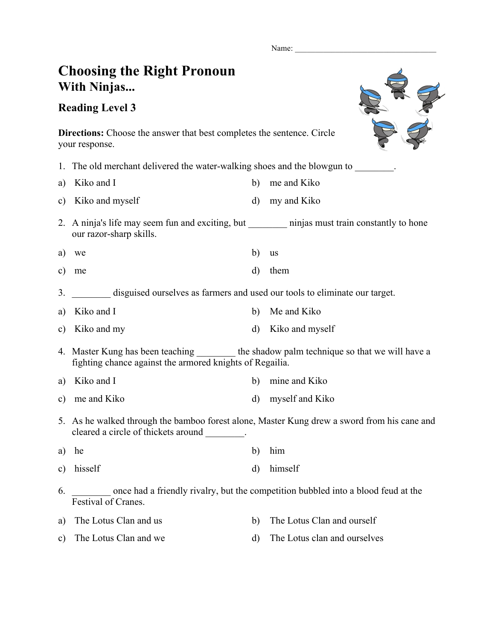Name:

## **Choosing the Right Pronoun With Ninjas...**

## **Reading Level 3**



**Directions:** Choose the answer that best completes the sentence. Circle your response.

1. The old merchant delivered the water-walking shoes and the blowgun to

a) Kiko and I b) me and Kiko

- c) Kiko and myself d) my and Kiko
- 2. A ninja's life may seem fun and exciting, but hinjas must train constantly to hone our razor-sharp skills.
- a) we b) us
- c) me d) them
- 3. \_\_\_\_\_\_\_\_ disguised ourselves as farmers and used our tools to eliminate our target.
- a) Kiko and I b) Me and Kiko
- c) Kiko and my d) Kiko and myself
- 4. Master Kung has been teaching the shadow palm technique so that we will have a fighting chance against the armored knights of Regailia.
- a) Kiko and I b) mine and Kiko
- c) me and Kiko d) myself and Kiko
- 5. As he walked through the bamboo forest alone, Master Kung drew a sword from his cane and cleared a circle of thickets around \_\_\_\_\_\_\_\_.
- a) he b) him
- c) hisself d) himself
- 6. \_\_\_\_\_\_\_\_ once had a friendly rivalry, but the competition bubbled into a blood feud at the Festival of Cranes.
- a) The Lotus Clan and us b) The Lotus Clan and ourself c) The Lotus Clan and we d) The Lotus clan and ourselves
	-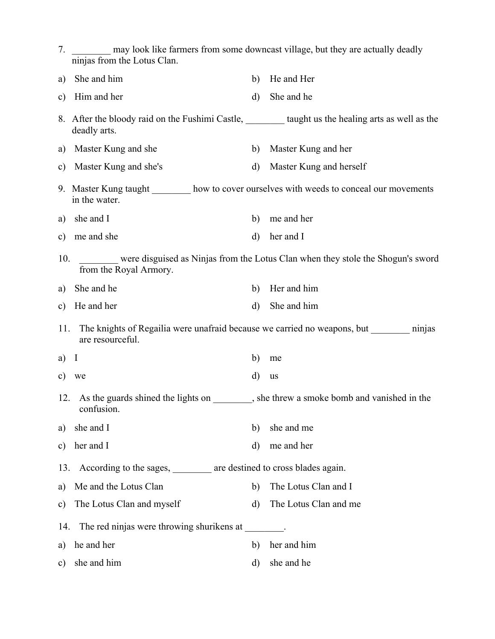| 7.            | ninjas from the Lotus Clan.                                                                                               |              | may look like farmers from some downcast village, but they are actually deadly  |
|---------------|---------------------------------------------------------------------------------------------------------------------------|--------------|---------------------------------------------------------------------------------|
| a)            | She and him                                                                                                               | b)           | He and Her                                                                      |
| $\mathbf{c})$ | Him and her                                                                                                               | $\mathbf{d}$ | She and he                                                                      |
|               | 8. After the bloody raid on the Fushimi Castle, <u>entitled</u> taught us the healing arts as well as the<br>deadly arts. |              |                                                                                 |
| a)            | Master Kung and she                                                                                                       | b)           | Master Kung and her                                                             |
| $\mathbf{c})$ | Master Kung and she's                                                                                                     | $\mathbf{d}$ | Master Kung and herself                                                         |
|               | 9. Master Kung taught _______ how to cover ourselves with weeds to conceal our movements<br>in the water.                 |              |                                                                                 |
| a)            | she and I                                                                                                                 | b)           | me and her                                                                      |
| $\mathbf{c})$ | me and she                                                                                                                | d)           | her and I                                                                       |
| 10.           | from the Royal Armory.                                                                                                    |              | were disguised as Ninjas from the Lotus Clan when they stole the Shogun's sword |
| a)            | She and he                                                                                                                | b)           | Her and him                                                                     |
| $\mathbf{c})$ | He and her                                                                                                                | $\mathbf{d}$ | She and him                                                                     |
| 11.           | are resourceful.                                                                                                          |              | The knights of Regailia were unafraid because we carried no weapons, but minjas |
| a)            | $\mathbf I$                                                                                                               | b)           | me                                                                              |
|               | c) we                                                                                                                     | d)           | <b>us</b>                                                                       |
|               | 12. As the guards shined the lights on , she threw a smoke bomb and vanished in the<br>confusion.                         |              |                                                                                 |
| a)            | she and I                                                                                                                 | b)           | she and me                                                                      |
| $\mathbf{c})$ | her and I                                                                                                                 | d)           | me and her                                                                      |
| 13.           | According to the sages, _______ are destined to cross blades again.                                                       |              |                                                                                 |
| a)            | Me and the Lotus Clan                                                                                                     | b)           | The Lotus Clan and I                                                            |
| $\mathbf{c})$ | The Lotus Clan and myself                                                                                                 | $\mathbf{d}$ | The Lotus Clan and me                                                           |
| 14.           | The red ninjas were throwing shurikens at _______.                                                                        |              |                                                                                 |
| a)            | he and her                                                                                                                | b)           | her and him                                                                     |
| $\mathbf{c})$ | she and him                                                                                                               | d)           | she and he                                                                      |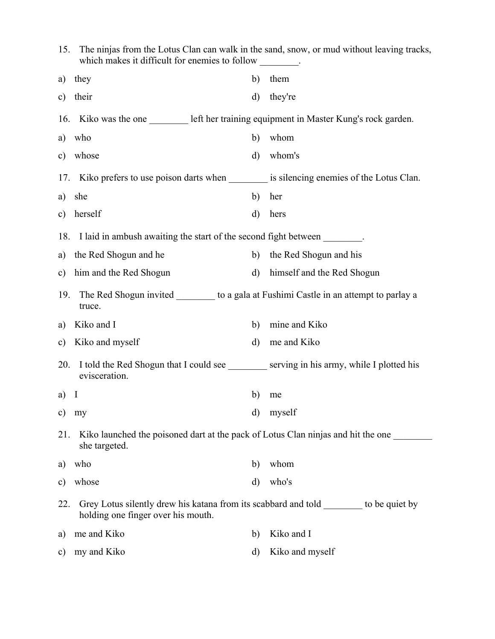| 15.           | The ninjas from the Lotus Clan can walk in the sand, snow, or mud without leaving tracks,<br>which makes it difficult for enemies to follow ________. |              |                            |  |  |
|---------------|-------------------------------------------------------------------------------------------------------------------------------------------------------|--------------|----------------------------|--|--|
| a)            | they                                                                                                                                                  | b)           | them                       |  |  |
| $\mathbf{c})$ | their                                                                                                                                                 | d)           | they're                    |  |  |
| 16.           | Kiko was the one ___________ left her training equipment in Master Kung's rock garden.                                                                |              |                            |  |  |
| a)            | who                                                                                                                                                   | b)           | whom                       |  |  |
| $\mathbf{c})$ | whose                                                                                                                                                 | $\mathbf{d}$ | whom's                     |  |  |
|               | 17. Kiko prefers to use poison darts when is silencing enemies of the Lotus Clan.                                                                     |              |                            |  |  |
| a)            | she                                                                                                                                                   | b)           | her                        |  |  |
| $\mathbf{c})$ | herself                                                                                                                                               | d)           | hers                       |  |  |
|               | 18. I laid in ambush awaiting the start of the second fight between                                                                                   |              |                            |  |  |
| a)            | the Red Shogun and he                                                                                                                                 | b)           | the Red Shogun and his     |  |  |
| $\mathbf{c})$ | him and the Red Shogun                                                                                                                                | $\rm d)$     | himself and the Red Shogun |  |  |
| 19.           | The Red Shogun invited ___________ to a gala at Fushimi Castle in an attempt to parlay a<br>truce.                                                    |              |                            |  |  |
| a)            | Kiko and I                                                                                                                                            | b)           | mine and Kiko              |  |  |
| $\mathbf{c})$ | Kiko and myself                                                                                                                                       | d)           | me and Kiko                |  |  |
| 20.           | I told the Red Shogun that I could see ________ serving in his army, while I plotted his<br>evisceration.                                             |              |                            |  |  |
| $a)$ I        |                                                                                                                                                       | b)           | me                         |  |  |
| c) $my$       |                                                                                                                                                       | d)           | myself                     |  |  |
| 21.           | Kiko launched the poisoned dart at the pack of Lotus Clan ninjas and hit the one ______<br>she targeted.                                              |              |                            |  |  |
| a)            | who                                                                                                                                                   | b)           | whom                       |  |  |
| C)            | whose                                                                                                                                                 | d)           | who's                      |  |  |
| 22.           | Grey Lotus silently drew his katana from its scabbard and told to be quiet by<br>holding one finger over his mouth.                                   |              |                            |  |  |
| a)            | me and Kiko                                                                                                                                           | b)           | Kiko and I                 |  |  |
| c)            | my and Kiko                                                                                                                                           | d)           | Kiko and myself            |  |  |